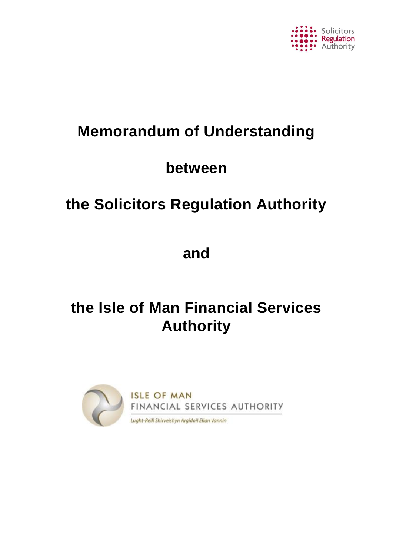

# **Memorandum of Understanding**

# **between**

# **the Solicitors Regulation Authority**

# **and**

# **the Isle of Man Financial Services Authority**

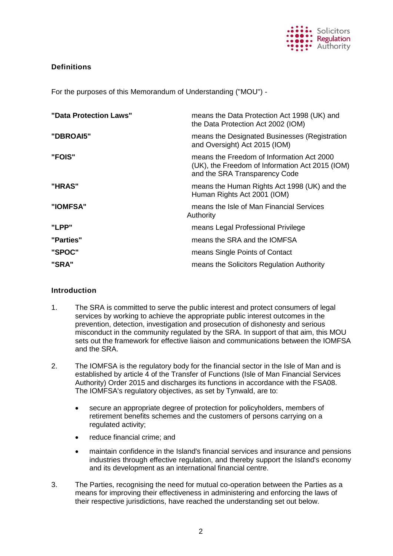

# **Definitions**

For the purposes of this Memorandum of Understanding ("MOU") -

| "Data Protection Laws" | means the Data Protection Act 1998 (UK) and<br>the Data Protection Act 2002 (IOM)                                             |  |
|------------------------|-------------------------------------------------------------------------------------------------------------------------------|--|
| "DBROAI5"              | means the Designated Businesses (Registration<br>and Oversight) Act 2015 (IOM)                                                |  |
| "FOIS"                 | means the Freedom of Information Act 2000<br>(UK), the Freedom of Information Act 2015 (IOM)<br>and the SRA Transparency Code |  |
| "HRAS"                 | means the Human Rights Act 1998 (UK) and the<br>Human Rights Act 2001 (IOM)                                                   |  |
| "IOMFSA"               | means the Isle of Man Financial Services<br>Authority                                                                         |  |
| "LPP"                  | means Legal Professional Privilege                                                                                            |  |
| "Parties"              | means the SRA and the IOMFSA                                                                                                  |  |
| "SPOC"                 | means Single Points of Contact                                                                                                |  |
| "SRA"                  | means the Solicitors Regulation Authority                                                                                     |  |

# **Introduction**

- 1. The SRA is committed to serve the public interest and protect consumers of legal services by working to achieve the appropriate public interest outcomes in the prevention, detection, investigation and prosecution of dishonesty and serious misconduct in the community regulated by the SRA. In support of that aim, this MOU sets out the framework for effective liaison and communications between the IOMFSA and the SRA.
- 2. The IOMFSA is the regulatory body for the financial sector in the Isle of Man and is established by article 4 of the Transfer of Functions (Isle of Man Financial Services Authority) Order 2015 and discharges its functions in accordance with the FSA08. The IOMFSA's regulatory objectives, as set by Tynwald, are to:
	- secure an appropriate degree of protection for policyholders, members of retirement benefits schemes and the customers of persons carrying on a regulated activity;
	- reduce financial crime; and
	- maintain confidence in the Island's financial services and insurance and pensions industries through effective regulation, and thereby support the Island's economy and its development as an international financial centre.
- 3. The Parties, recognising the need for mutual co-operation between the Parties as a means for improving their effectiveness in administering and enforcing the laws of their respective jurisdictions, have reached the understanding set out below.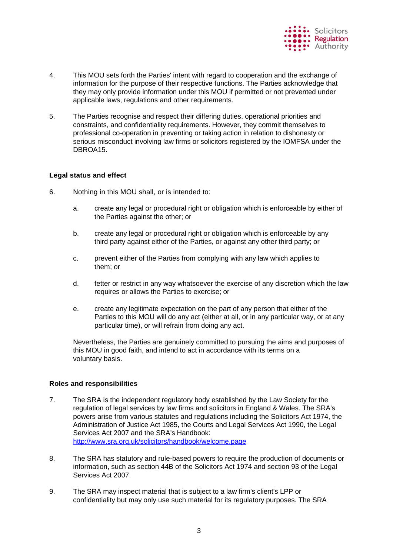

- 4. This MOU sets forth the Parties' intent with regard to cooperation and the exchange of information for the purpose of their respective functions. The Parties acknowledge that they may only provide information under this MOU if permitted or not prevented under applicable laws, regulations and other requirements.
- 5. The Parties recognise and respect their differing duties, operational priorities and constraints, and confidentiality requirements. However, they commit themselves to professional co-operation in preventing or taking action in relation to dishonesty or serious misconduct involving law firms or solicitors registered by the IOMFSA under the DBROA15.

### **Legal status and effect**

- 6. Nothing in this MOU shall, or is intended to:
	- a. create any legal or procedural right or obligation which is enforceable by either of the Parties against the other; or
	- b. create any legal or procedural right or obligation which is enforceable by any third party against either of the Parties, or against any other third party; or
	- c. prevent either of the Parties from complying with any law which applies to them; or
	- d. fetter or restrict in any way whatsoever the exercise of any discretion which the law requires or allows the Parties to exercise; or
	- e. create any legitimate expectation on the part of any person that either of the Parties to this MOU will do any act (either at all, or in any particular way, or at any particular time), or will refrain from doing any act.

Nevertheless, the Parties are genuinely committed to pursuing the aims and purposes of this MOU in good faith, and intend to act in accordance with its terms on a voluntary basis.

# **Roles and responsibilities**

- 7. The SRA is the independent regulatory body established by the Law Society for the regulation of legal services by law firms and solicitors in England & Wales. The SRA's powers arise from various statutes and regulations including the Solicitors Act 1974, the Administration of Justice Act 1985, the Courts and Legal Services Act 1990, the Legal Services Act 2007 and the SRA's Handbook: <http://www.sra.orq.uk/solicitors/handbook/welcome.paqe>
- 8. The SRA has statutory and rule-based powers to require the production of documents or information, such as section 44B of the Solicitors Act 1974 and section 93 of the Legal Services Act 2007.
- 9. The SRA may inspect material that is subject to a law firm's client's LPP or confidentiality but may only use such material for its regulatory purposes. The SRA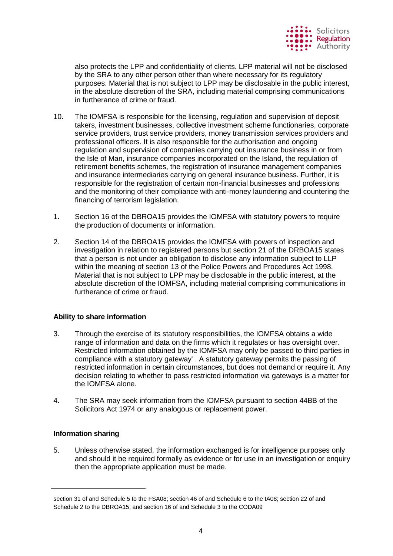

also protects the LPP and confidentiality of clients. LPP material will not be disclosed by the SRA to any other person other than where necessary for its regulatory purposes. Material that is not subject to LPP may be disclosable in the public interest, in the absolute discretion of the SRA, including material comprising communications in furtherance of crime or fraud.

- 10. The IOMFSA is responsible for the licensing, regulation and supervision of deposit takers, investment businesses, collective investment scheme functionaries, corporate service providers, trust service providers, money transmission services providers and professional officers. It is also responsible for the authorisation and ongoing regulation and supervision of companies carrying out insurance business in or from the Isle of Man, insurance companies incorporated on the Island, the regulation of retirement benefits schemes, the registration of insurance management companies and insurance intermediaries carrying on general insurance business. Further, it is responsible for the registration of certain non-financial businesses and professions and the monitoring of their compliance with anti-money laundering and countering the financing of terrorism legislation.
- 1. Section 16 of the DBROA15 provides the IOMFSA with statutory powers to require the production of documents or information.
- 2. Section 14 of the DBROA15 provides the IOMFSA with powers of inspection and investigation in relation to registered persons but section 21 of the DRBOA15 states that a person is not under an obligation to disclose any information subject to LLP within the meaning of section 13 of the Police Powers and Procedures Act 1998. Material that is not subject to LPP may be disclosable in the public interest, at the absolute discretion of the IOMFSA, including material comprising communications in furtherance of crime or fraud.

# **Ability to share information**

- 3. Through the exercise of its statutory responsibilities, the IOMFSA obtains a wide range of information and data on the firms which it regulates or has oversight over. Restricted information obtained by the IOMFSA may only be passed to third parties in compliance with a statutory gateway' . A statutory gateway permits the passing of restricted information in certain circumstances, but does not demand or require it. Any decision relating to whether to pass restricted information via gateways is a matter for the IOMFSA alone.
- 4. The SRA may seek information from the IOMFSA pursuant to section 44BB of the Solicitors Act 1974 or any analogous or replacement power.

### **Information sharing**

5. Unless otherwise stated, the information exchanged is for intelligence purposes only and should it be required formally as evidence or for use in an investigation or enquiry then the appropriate application must be made.

section 31 of and Schedule 5 to the FSA08; section 46 of and Schedule 6 to the IA08; section 22 of and Schedule 2 to the DBROA15; and section 16 of and Schedule 3 to the CODA09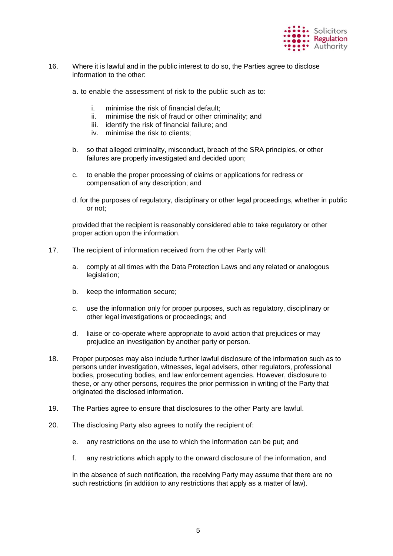

- 16. Where it is lawful and in the public interest to do so, the Parties agree to disclose information to the other:
	- a. to enable the assessment of risk to the public such as to:
		- i. minimise the risk of financial default;
		- ii. minimise the risk of fraud or other criminality; and
		- iii. identify the risk of financial failure; and
		- iv. minimise the risk to clients;
	- b. so that alleged criminality, misconduct, breach of the SRA principles, or other failures are properly investigated and decided upon;
	- c. to enable the proper processing of claims or applications for redress or compensation of any description; and
	- d. for the purposes of regulatory, disciplinary or other legal proceedings, whether in public or not;

provided that the recipient is reasonably considered able to take regulatory or other proper action upon the information.

- 17. The recipient of information received from the other Party will:
	- a. comply at all times with the Data Protection Laws and any related or analogous legislation;
	- b. keep the information secure;
	- c. use the information only for proper purposes, such as regulatory, disciplinary or other legal investigations or proceedings; and
	- d. liaise or co-operate where appropriate to avoid action that prejudices or may prejudice an investigation by another party or person.
- 18. Proper purposes may also include further lawful disclosure of the information such as to persons under investigation, witnesses, legal advisers, other regulators, professional bodies, prosecuting bodies, and law enforcement agencies. However, disclosure to these, or any other persons, requires the prior permission in writing of the Party that originated the disclosed information.
- 19. The Parties agree to ensure that disclosures to the other Party are lawful.
- 20. The disclosing Party also agrees to notify the recipient of:
	- e. any restrictions on the use to which the information can be put; and
	- f. any restrictions which apply to the onward disclosure of the information, and

in the absence of such notification, the receiving Party may assume that there are no such restrictions (in addition to any restrictions that apply as a matter of law).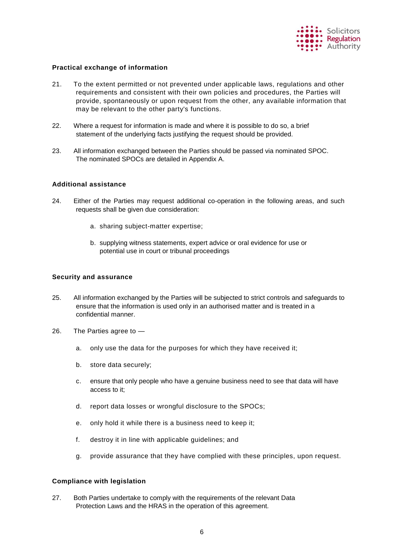

#### **Practical exchange of information**

- 21. To the extent permitted or not prevented under applicable laws, regulations and other requirements and consistent with their own policies and procedures, the Parties will provide, spontaneously or upon request from the other, any available information that may be relevant to the other party's functions.
- 22. Where a request for information is made and where it is possible to do so, a brief statement of the underlying facts justifying the request should be provided.
- 23. All information exchanged between the Parties should be passed via nominated SPOC. The nominated SPOCs are detailed in Appendix A.

#### **Additional assistance**

- 24. Either of the Parties may request additional co-operation in the following areas, and such requests shall be given due consideration:
	- a. sharing subject-matter expertise;
	- b. supplying witness statements, expert advice or oral evidence for use or potential use in court or tribunal proceedings

#### **Security and assurance**

- 25. All information exchanged by the Parties will be subjected to strict controls and safeguards to ensure that the information is used only in an authorised matter and is treated in a confidential manner.
- 26. The Parties agree to
	- a. only use the data for the purposes for which they have received it;
	- b. store data securely;
	- c. ensure that only people who have a genuine business need to see that data will have access to it;
	- d. report data losses or wrongful disclosure to the SPOCs;
	- e. only hold it while there is a business need to keep it;
	- f. destroy it in line with applicable guidelines; and
	- g. provide assurance that they have complied with these principles, upon request.

#### **Compliance with legislation**

27. Both Parties undertake to comply with the requirements of the relevant Data Protection Laws and the HRAS in the operation of this agreement.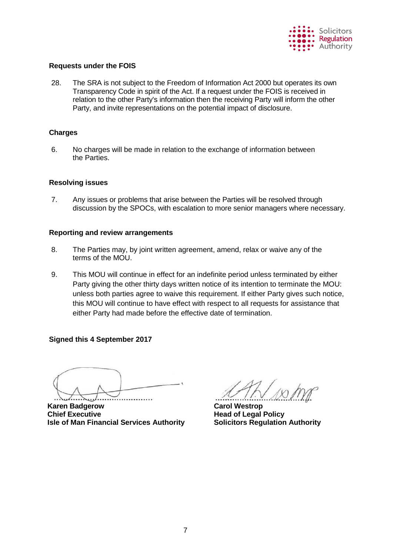

# **Requests under the FOIS**

28. The SRA is not subject to the Freedom of Information Act 2000 but operates its own Transparency Code in spirit of the Act. If a request under the FOIS is received in relation to the other Party's information then the receiving Party will inform the other Party, and invite representations on the potential impact of disclosure.

### **Charges**

6. No charges will be made in relation to the exchange of information between the Parties.

### **Resolving issues**

7. Any issues or problems that arise between the Parties will be resolved through discussion by the SPOCs, with escalation to more senior managers where necessary.

### **Reporting and review arrangements**

- 8. The Parties may, by joint written agreement, amend, relax or waive any of the terms of the MOU.
- 9. This MOU will continue in effect for an indefinite period unless terminated by either Party giving the other thirty days written notice of its intention to terminate the MOU: unless both parties agree to waive this requirement. If either Party gives such notice, this MOU will continue to have effect with respect to all requests for assistance that either Party had made before the effective date of termination.

# **Signed this 4 September 2017**

**Karen Badgerow Carol Westrop Chief Executive Chief Executive Accord Policy Head of Legal Policy Isle of Man Financial Services Authority Solicitors Regulation Authority**